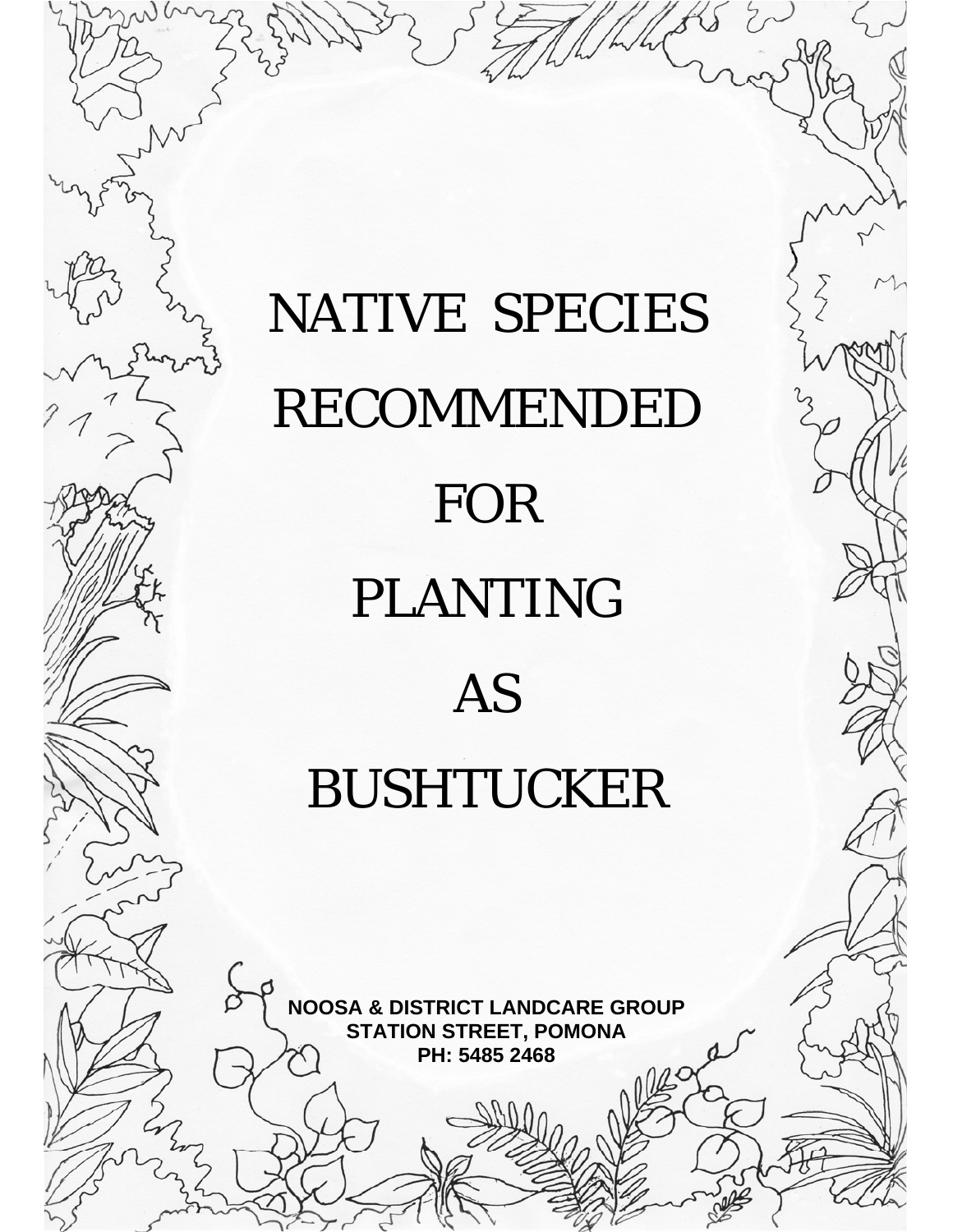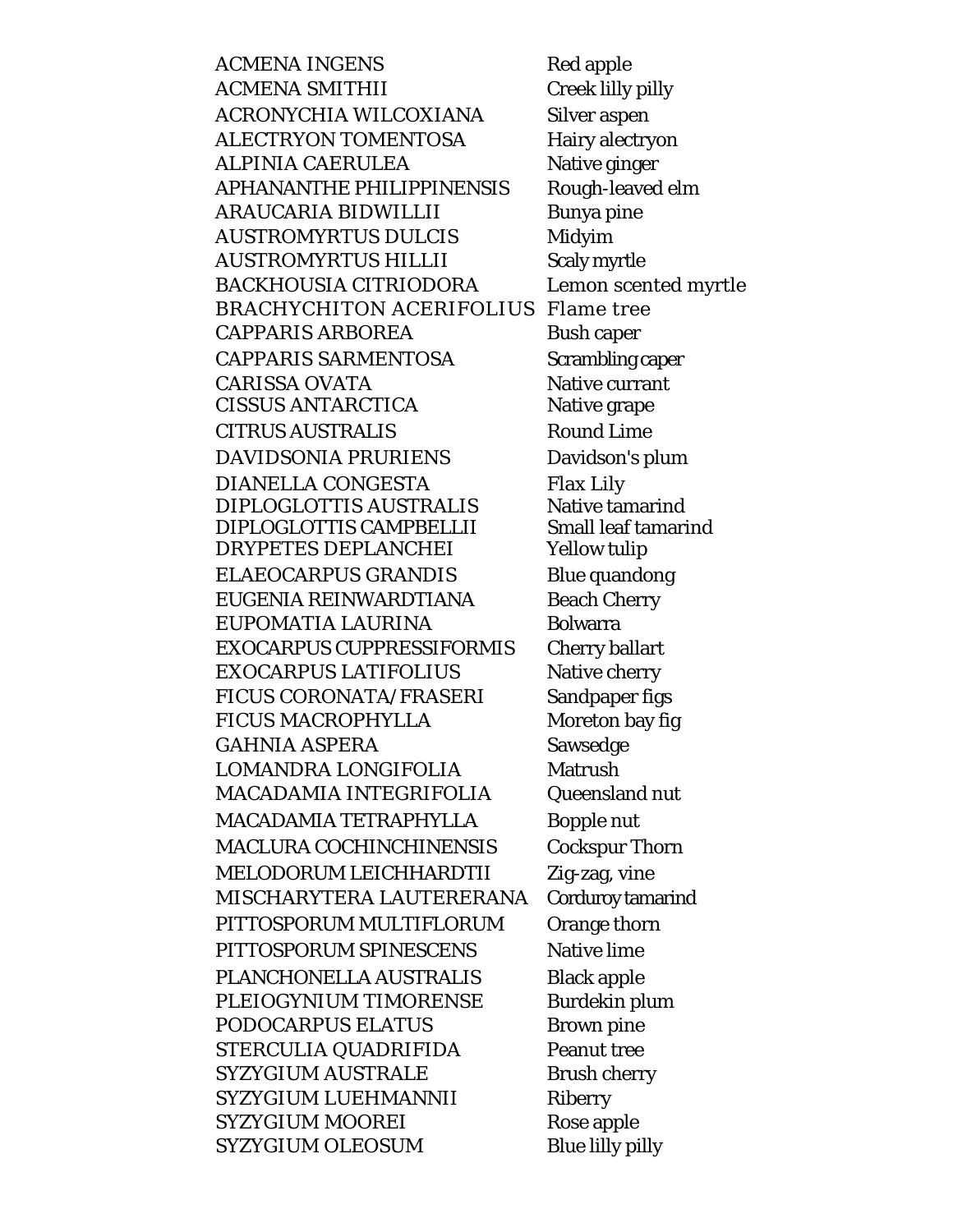**ACMENA INGENS ACMENA SMITHII** ACRONYCHIA WILCOXIANA ALECTRYON TOMENTOSA **ALPINIA CAERULEA APHANANTHE PHILIPPINENSIS** ARAUCARIA BIDWILLII **AUSTROMYRTUS DULCIS AUSTROMYRTUS HILLII BACKHOUSIA CITRIODORA BRACHYCHITON ACERIFOLIUS Flame tree CAPPARIS ARBOREA CAPPARIS SARMENTOSA CARISSA OVATA CISSUS ANTARCTICA CITRUS AUSTRALIS** DAVIDSONIA PRURIENS **DIANELLA CONGESTA** DIPLOGLOTTIS AUSTRALIS DIPLOGLOTTIS CAMPBELLII **DRYPETES DEPLANCHEI** ELAEOCARPUS GRANDIS EUGENIA REINWARDTIANA EUPOMATIA LAURINA **EXOCARPUS CUPPRESSIFORMIS EXOCARPUS LATIFOLIUS FICUS CORONATA/FRASERI FICUS MACROPHYLLA GAHNIA ASPERA** LOMANDRA LONGIFOLIA MACADAMIA INTEGRIFOLIA MACADAMIA TETRAPHYLLA **MACLURA COCHINCHINENSIS** MELODORUM LEICHHARDTII MISCHARYTERA LAUTERERANA PITTOSPORUM MULTIFLORUM PITTOSPORUM SPINESCENS PLANCHONELLA AUSTRALIS PLEIOGYNIUM TIMORENSE PODOCARPUS ELATUS STERCULIA QUADRIFIDA **SYZYGIUM AUSTRALE SYZYGIUM LUEHMANNII SYZYGIUM MOOREI SYZYGIUM OLEOSUM** 

Red apple Creek lilly pilly **Silver aspen** Hairy alectryon Native ginger Rough-leaved elm Bunya pine Midyim **Scaly myrtle** Lemon scented myrtle **Bush caper** Scrambling caper Native currant Native grape **Round Lime** Davidson's plum **Flax Lily** Native tamarind **Small leaf tamarind Yellow tulip Blue quandong Beach Cherry Bolwarra Cherry ballart** Native cherry Sandpaper figs Moreton bay fig Sawsedge **Matrush** Queensland nut **Bopple nut Cockspur Thorn** Zig-zag, vine Corduroy tamarind Orange thorn Native lime **Black apple Burdekin plum Brown pine Peanut tree Brush cherry Riberry** Rose apple **Blue lilly pilly**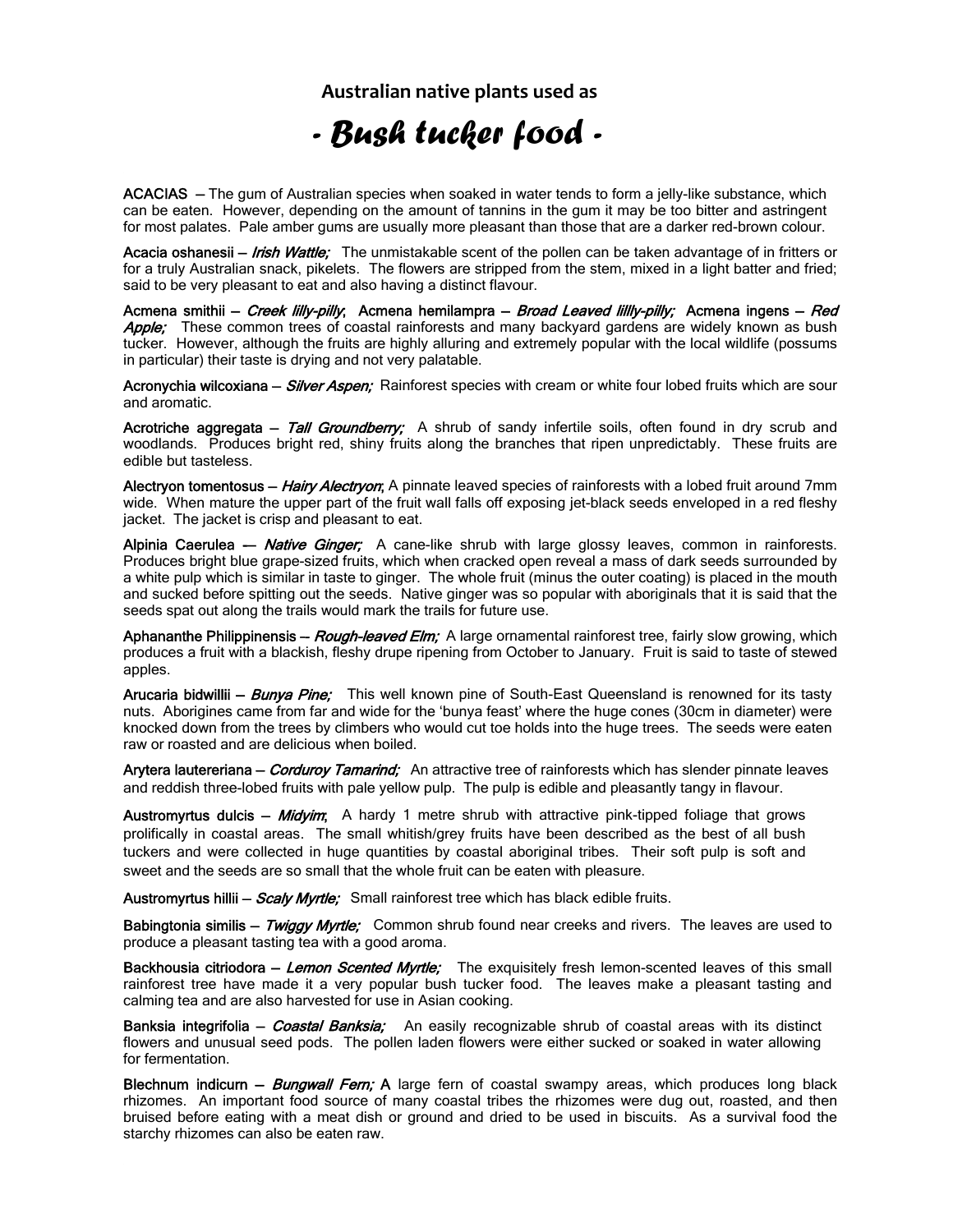**Australian native plants used as**

## *- Bush tucker food -*

ACACIAS — The gum of Australian species when soaked in water tends to form a jelly-like substance, which can be eaten. However, depending on the amount of tannins in the gum it may be too bitter and astringent for most palates. Pale amber gums are usually more pleasant than those that are a darker red-brown colour.

Acacia oshanesii – *Irish Wattle;* The unmistakable scent of the pollen can be taken advantage of in fritters or for a truly Australian snack, pikelets. The flowers are stripped from the stem, mixed in a light batter and fried; said to be very pleasant to eat and also having a distinct flavour.

Acmena smithii – Creek lilly-pilly; Acmena hemilampra – Broad Leaved lillly-pilly; Acmena ingens – Red **Apple;** These common trees of coastal rainforests and many backyard gardens are widely known as bush tucker. However, although the fruits are highly alluring and extremely popular with the local wildlife (possums in particular) their taste is drying and not very palatable.

Acronychia wilcoxiana – *Silver Aspen*; Rainforest species with cream or white four lobed fruits which are sour and aromatic.

Acrotriche aggregata - Tall Groundberry; A shrub of sandy infertile soils, often found in dry scrub and woodlands. Produces bright red, shiny fruits along the branches that ripen unpredictably. These fruits are edible but tasteless.

Alectryon tomentosus - Hairy Alectryon; A pinnate leaved species of rainforests with a lobed fruit around 7mm wide. When mature the upper part of the fruit wall falls off exposing jet-black seeds enveloped in a red fleshy jacket. The jacket is crisp and pleasant to eat.

Alpinia Caerulea - *Native Ginger;* A cane-like shrub with large glossy leaves, common in rainforests. Produces bright blue grape-sized fruits, which when cracked open reveal a mass of dark seeds surrounded by a white pulp which is similar in taste to ginger. The whole fruit (minus the outer coating) is placed in the mouth and sucked before spitting out the seeds. Native ginger was so popular with aboriginals that it is said that the seeds spat out along the trails would mark the trails for future use.

Aphananthe Philippinensis – *Rough-leaved Elm;* A large ornamental rainforest tree, fairly slow growing, which produces a fruit with a blackish, fleshy drupe ripening from October to January. Fruit is said to taste of stewed apples.

Arucaria bidwillii - Bunya Pine; This well known pine of South-East Queensland is renowned for its tasty nuts. Aborigines came from far and wide for the 'bunya feast' where the huge cones (30cm in diameter) were knocked down from the trees by climbers who would cut toe holds into the huge trees. The seeds were eaten raw or roasted and are delicious when boiled.

Arytera lautereriana - Corduroy Tamarind; An attractive tree of rainforests which has slender pinnate leaves and reddish three-lobed fruits with pale yellow pulp. The pulp is edible and pleasantly tangy in flavour.

Austromyrtus dulcis – *Midyim*; A hardy 1 metre shrub with attractive pink-tipped foliage that grows prolifically in coastal areas. The small whitish/grey fruits have been described as the best of all bush tuckers and were collected in huge quantities by coastal aboriginal tribes. Their soft pulp is soft and sweet and the seeds are so small that the whole fruit can be eaten with pleasure.

Austromyrtus hillii - Scaly Myrtle; Small rainforest tree which has black edible fruits.

Babingtonia similis – Twiggy Myrtle; Common shrub found near creeks and rivers. The leaves are used to produce a pleasant tasting tea with a good aroma.

Backhousia citriodora - Lemon Scented Myrtle; The exquisitely fresh lemon-scented leaves of this small rainforest tree have made it a very popular bush tucker food. The leaves make a pleasant tasting and calming tea and are also harvested for use in Asian cooking.

Banksia integrifolia – *Coastal Banksia;* An easily recognizable shrub of coastal areas with its distinct flowers and unusual seed pods. The pollen laden flowers were either sucked or soaked in water allowing for fermentation.

Blechnum indicurn – *Bungwall Fern;* A large fern of coastal swampy areas, which produces long black rhizomes. An important food source of many coastal tribes the rhizomes were dug out, roasted, and then bruised before eating with a meat dish or ground and dried to be used in biscuits. As a survival food the starchy rhizomes can also be eaten raw.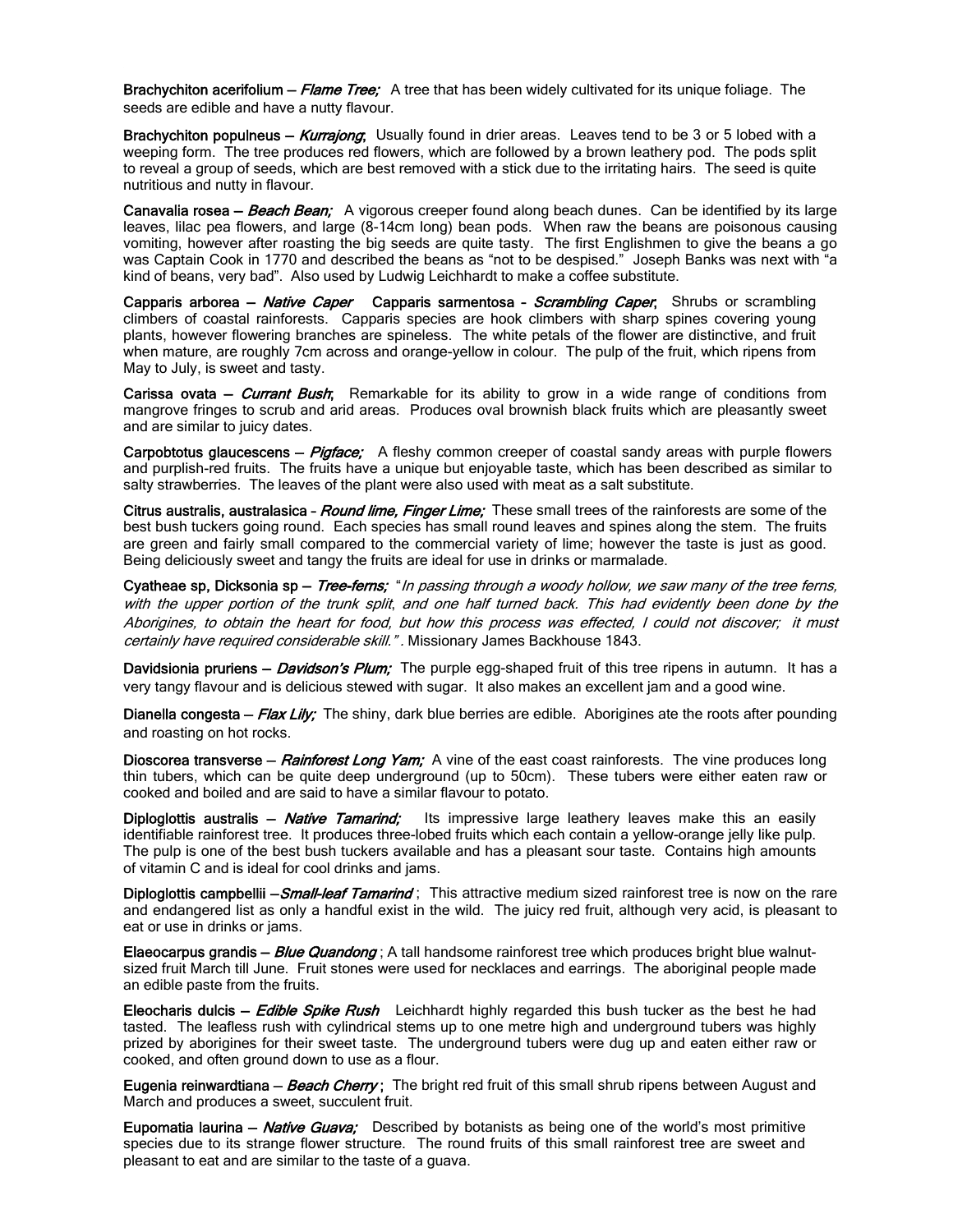Brachychiton acerifolium – *Flame Tree;* A tree that has been widely cultivated for its unique foliage. The seeds are edible and have a nutty flavour.

Brachychiton populneus – Kurrajong; Usually found in drier areas. Leaves tend to be 3 or 5 lobed with a weeping form. The tree produces red flowers, which are followed by a brown leathery pod. The pods split to reveal a group of seeds, which are best removed with a stick due to the irritating hairs. The seed is quite nutritious and nutty in flavour.

Canavalia rosea – Beach Bean; A vigorous creeper found along beach dunes. Can be identified by its large leaves, lilac pea flowers, and large (8-14cm long) bean pods. When raw the beans are poisonous causing vomiting, however after roasting the big seeds are quite tasty. The first Englishmen to give the beans a go was Captain Cook in 1770 and described the beans as "not to be despised." Joseph Banks was next with "a kind of beans, very bad". Also used by Ludwig Leichhardt to make a coffee substitute.

Capparis arborea - Native Caper Capparis sarmentosa - Scrambling Caper; Shrubs or scrambling climbers of coastal rainforests. Capparis species are hook climbers with sharp spines covering young plants, however flowering branches are spineless. The white petals of the flower are distinctive, and fruit when mature, are roughly 7cm across and orange-yellow in colour. The pulp of the fruit, which ripens from May to July, is sweet and tasty.

Carissa ovata – *Currant Bush*; Remarkable for its ability to grow in a wide range of conditions from mangrove fringes to scrub and arid areas. Produces oval brownish black fruits which are pleasantly sweet and are similar to juicy dates.

Carpobtotus glaucescens - Pigface; A fleshy common creeper of coastal sandy areas with purple flowers and purplish-red fruits. The fruits have a unique but enjoyable taste, which has been described as similar to salty strawberries. The leaves of the plant were also used with meat as a salt substitute.

Citrus australis, australasica - Round lime, Finger Lime; These small trees of the rainforests are some of the best bush tuckers going round. Each species has small round leaves and spines along the stem. The fruits are green and fairly small compared to the commercial variety of lime; however the taste is just as good. Being deliciously sweet and tangy the fruits are ideal for use in drinks or marmalade.

Cyatheae sp, Dicksonia sp - Tree-ferns; "In passing through a woody hollow, we saw many of the tree ferns, with the upper portion of the trunk split, and one half turned back. This had evidently been done by the Aborigines, to obtain the heart for food, but how this process was effected, I could not discover; it must certainly have required considerable skill.". Missionary James Backhouse 1843.

Davidsionia pruriens – *Davidson's Plum;* The purple egg-shaped fruit of this tree ripens in autumn. It has a very tangy flavour and is delicious stewed with sugar. It also makes an excellent jam and a good wine.

Dianella congesta – Flax Lily; The shiny, dark blue berries are edible. Aborigines ate the roots after pounding and roasting on hot rocks.

Dioscorea transverse – Rainforest Long Yam; A vine of the east coast rainforests. The vine produces long thin tubers, which can be quite deep underground (up to 50cm). These tubers were either eaten raw or cooked and boiled and are said to have a similar flavour to potato.

Diploglottis australis – Native Tamarind; Its impressive large leathery leaves make this an easily identifiable rainforest tree. It produces three-lobed fruits which each contain a yellow-orange jelly like pulp. The pulp is one of the best bush tuckers available and has a pleasant sour taste. Contains high amounts of vitamin C and is ideal for cool drinks and jams.

Diploglottis campbellii - Small-leaf Tamarind; This attractive medium sized rainforest tree is now on the rare and endangered list as only a handful exist in the wild. The juicy red fruit, although very acid, is pleasant to eat or use in drinks or jams.

Elaeocarpus grandis – *Blue Quandong* ; A tall handsome rainforest tree which produces bright blue walnutsized fruit March till June. Fruit stones were used for necklaces and earrings. The aboriginal people made an edible paste from the fruits.

Eleocharis dulcis - Edible Spike Rush Leichhardt highly regarded this bush tucker as the best he had tasted. The leafless rush with cylindrical stems up to one metre high and underground tubers was highly prized by aborigines for their sweet taste. The underground tubers were dug up and eaten either raw or cooked, and often ground down to use as a flour.

Eugenia reinwardtiana - Beach Cherry; The bright red fruit of this small shrub ripens between August and March and produces a sweet, succulent fruit.

Eupomatia laurina - Native Guava; Described by botanists as being one of the world's most primitive species due to its strange flower structure. The round fruits of this small rainforest tree are sweet and pleasant to eat and are similar to the taste of a guava.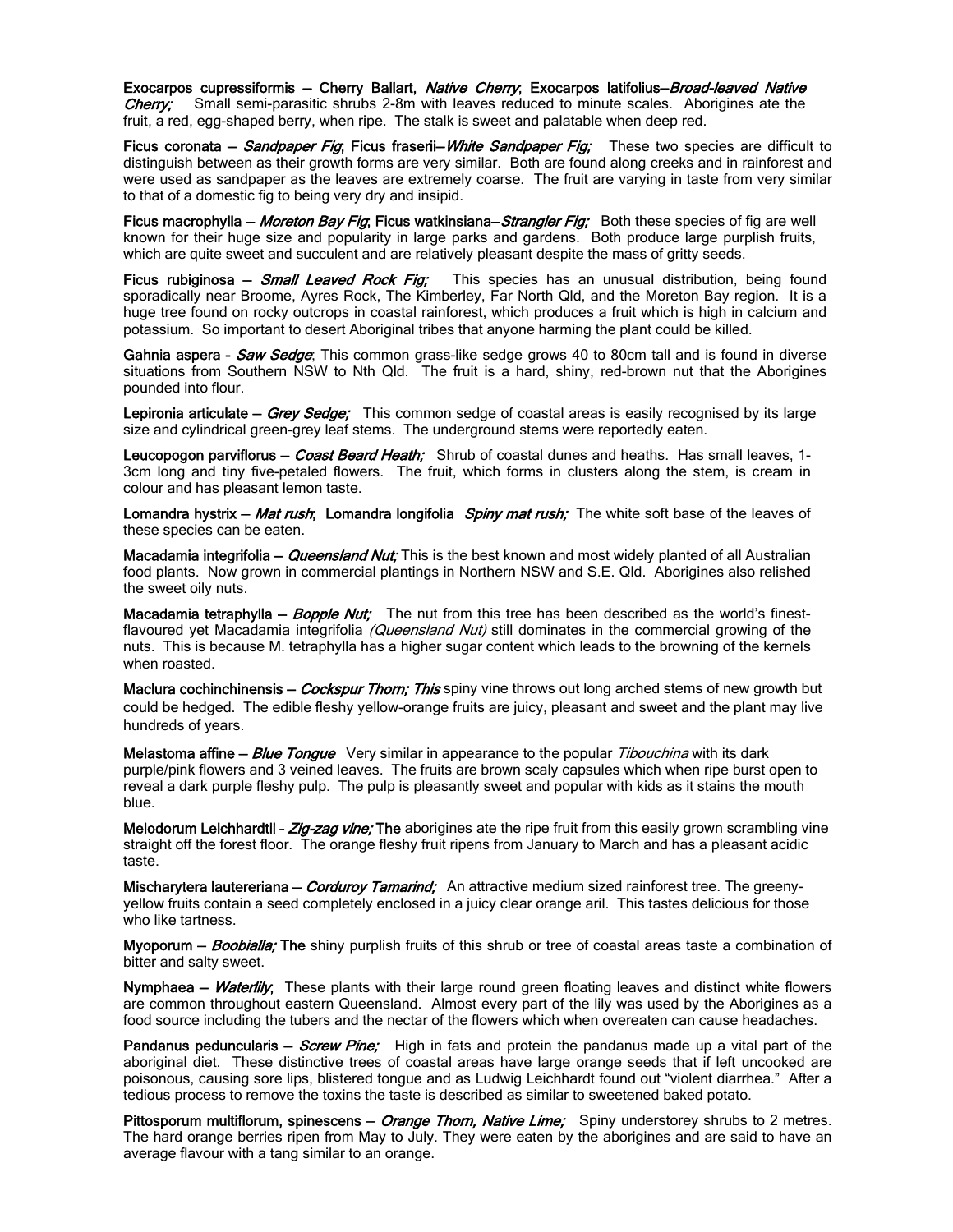Exocarpos cupressiformis - Cherry Ballart, Native Cherry; Exocarpos latifolius-Broad-leaved Native **Cherry;** Small semi-parasitic shrubs 2-8m with leaves reduced to minute scales. Aborigines ate the fruit, a red, egg-shaped berry, when ripe. The stalk is sweet and palatable when deep red.

Ficus coronata – Sandpaper Fig, Ficus fraserii– White Sandpaper Fig; These two species are difficult to distinguish between as their growth forms are very similar. Both are found along creeks and in rainforest and were used as sandpaper as the leaves are extremely coarse. The fruit are varying in taste from very similar to that of a domestic fig to being very dry and insipid.

Ficus macrophylla – Moreton Bay Fig, Ficus watkinsiana–Strangler Fig; Both these species of fig are well known for their huge size and popularity in large parks and gardens. Both produce large purplish fruits, which are quite sweet and succulent and are relatively pleasant despite the mass of gritty seeds.

Ficus rubiginosa – Small Leaved Rock Fig; This species has an unusual distribution, being found sporadically near Broome, Ayres Rock, The Kimberley, Far North Qld, and the Moreton Bay region. It is a huge tree found on rocky outcrops in coastal rainforest, which produces a fruit which is high in calcium and potassium. So important to desert Aboriginal tribes that anyone harming the plant could be killed.

Gahnia aspera - Saw Sedge; This common grass-like sedge grows 40 to 80cm tall and is found in diverse situations from Southern NSW to Nth Qld. The fruit is a hard, shiny, red-brown nut that the Aborigines pounded into flour.

Lepironia articulate - Grey Sedge; This common sedge of coastal areas is easily recognised by its large size and cylindrical green-grey leaf stems. The underground stems were reportedly eaten.

Leucopogon parviflorus – *Coast Beard Heath;* Shrub of coastal dunes and heaths. Has small leaves, 1-3cm long and tiny five-petaled flowers. The fruit, which forms in clusters along the stem, is cream in colour and has pleasant lemon taste.

Lomandra hystrix - Mat rush; Lomandra longifolia Spiny mat rush; The white soft base of the leaves of these species can be eaten.

Macadamia integrifolia – *Queensland Nut;* This is the best known and most widely planted of all Australian food plants. Now grown in commercial plantings in Northern NSW and S.E. Qld. Aborigines also relished the sweet oily nuts.

Macadamia tetraphylla - Bopple Nut; The nut from this tree has been described as the world's finestflavoured yet Macadamia integrifolia (Queensland Nut) still dominates in the commercial growing of the nuts. This is because M. tetraphylla has a higher sugar content which leads to the browning of the kernels when roasted.

Maclura cochinchinensis – *Cockspur Thorn; This* spiny vine throws out long arched stems of new growth but could be hedged. The edible fleshy yellow-orange fruits are juicy, pleasant and sweet and the plant may live hundreds of years.

Melastoma affine - Blue Tongue Very similar in appearance to the popular Tibouchina with its dark purple/pink flowers and 3 veined leaves. The fruits are brown scaly capsules which when ripe burst open to reveal a dark purple fleshy pulp. The pulp is pleasantly sweet and popular with kids as it stains the mouth blue.

Melodorum Leichhardtii - Zig-zag vine; The aborigines ate the ripe fruit from this easily grown scrambling vine straight off the forest floor. The orange fleshy fruit ripens from January to March and has a pleasant acidic taste.

Mischarytera lautereriana – *Corduroy Tamarind;* An attractive medium sized rainforest tree. The greenyyellow fruits contain a seed completely enclosed in a juicy clear orange aril. This tastes delicious for those who like tartness.

Myoporum – *Boobialla;* The shiny purplish fruits of this shrub or tree of coastal areas taste a combination of bitter and salty sweet.

Nymphaea – Waterlily; These plants with their large round green floating leaves and distinct white flowers are common throughout eastern Queensland. Almost every part of the lily was used by the Aborigines as a food source including the tubers and the nectar of the flowers which when overeaten can cause headaches.

Pandanus peduncularis – *Screw Pine;* High in fats and protein the pandanus made up a vital part of the aboriginal diet. These distinctive trees of coastal areas have large orange seeds that if left uncooked are poisonous, causing sore lips, blistered tongue and as Ludwig Leichhardt found out "violent diarrhea." After a tedious process to remove the toxins the taste is described as similar to sweetened baked potato.

Pittosporum multiflorum, spinescens – Orange Thorn, Native Lime; Spiny understorey shrubs to 2 metres. The hard orange berries ripen from May to July. They were eaten by the aborigines and are said to have an average flavour with a tang similar to an orange.